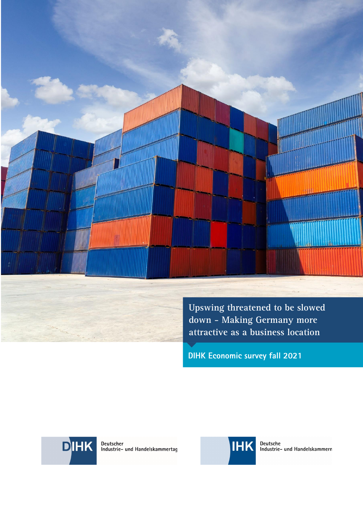

**Upswing threatened to be slowed down - Making Germany more attractive as a business location** 

**DIHK Economic survey fall 2021** 



Deutscher<br>Industrie- und Handelskammertag



Deutsche<br>Industrie- und Handelskammern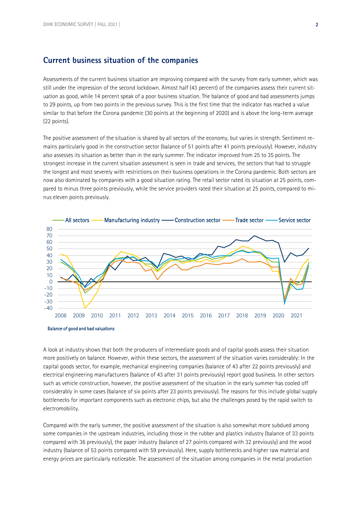### **Current business situation of the companies**

Assessments of the current business situation are improving compared with the survey from early summer, which was still under the impression of the second lockdown. Almost half (43 percent) of the companies assess their current situation as good, while 14 percent speak of a poor business situation. The balance of good and bad assessments jumps to 29 points, up from two points in the previous survey. This is the first time that the indicator has reached a value similar to that before the Corona pandemic (30 points at the beginning of 2020) and is above the long-term average (22 points).

The positive assessment of the situation is shared by all sectors of the economy, but varies in strength. Sentiment remains particularly good in the construction sector (balance of 51 points after 41 points previously). However, industry also assesses its situation as better than in the early summer. The indicator improved from 25 to 35 points. The strongest increase in the current situation assessment is seen in trade and services, the sectors that had to struggle the longest and most severely with restrictions on their business operations in the Corona pandemic. Both sectors are now also dominated by companies with a good situation rating. The retail sector rated its situation at 25 points, compared to minus three points previously, while the service providers rated their situation at 25 points, compared to minus eleven points previously.



Balance of good and bad valuations

A look at industry shows that both the producers of intermediate goods and of capital goods assess their situation more positively on balance. However, within these sectors, the assessment of the situation varies considerably: In the capital goods sector, for example, mechanical engineering companies (balance of 43 after 22 points previously) and electrical engineering manufacturers (balance of 43 after 31 points previously) report good business. In other sectors such as vehicle construction, however, the positive assessment of the situation in the early summer has cooled off considerably in some cases (balance of six points after 23 points previously). The reasons for this include global supply bottlenecks for important components such as electronic chips, but also the challenges posed by the rapid switch to electromobility.

Compared with the early summer, the positive assessment of the situation is also somewhat more subdued among some companies in the upstream industries, including those in the rubber and plastics industry (balance of 33 points compared with 36 previously), the paper industry (balance of 27 points compared with 32 previously) and the wood industry (balance of 53 points compared with 59 previously). Here, supply bottlenecks and higher raw material and energy prices are particularly noticeable. The assessment of the situation among companies in the metal production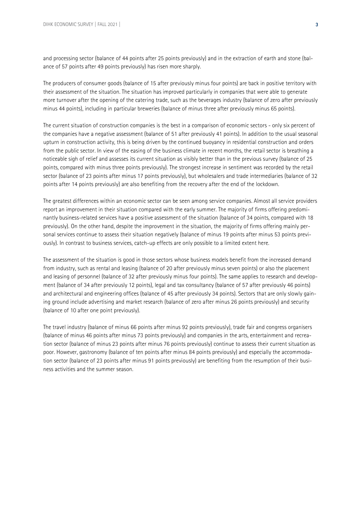and processing sector (balance of 44 points after 25 points previously) and in the extraction of earth and stone (balance of 57 points after 49 points previously) has risen more sharply.

The producers of consumer goods (balance of 15 after previously minus four points) are back in positive territory with their assessment of the situation. The situation has improved particularly in companies that were able to generate more turnover after the opening of the catering trade, such as the beverages industry (balance of zero after previously minus 44 points), including in particular breweries (balance of minus three after previously minus 65 points).

The current situation of construction companies is the best in a comparison of economic sectors - only six percent of the companies have a negative assessment (balance of 51 after previously 41 points). In addition to the usual seasonal upturn in construction activity, this is being driven by the continued buoyancy in residential construction and orders from the public sector. In view of the easing of the business climate in recent months, the retail sector is breathing a noticeable sigh of relief and assesses its current situation as visibly better than in the previous survey (balance of 25 points, compared with minus three points previously). The strongest increase in sentiment was recorded by the retail sector (balance of 23 points after minus 17 points previously), but wholesalers and trade intermediaries (balance of 32 points after 14 points previously) are also benefiting from the recovery after the end of the lockdown.

The greatest differences within an economic sector can be seen among service companies. Almost all service providers report an improvement in their situation compared with the early summer. The majority of firms offering predominantly business-related services have a positive assessment of the situation (balance of 34 points, compared with 18 previously). On the other hand, despite the improvement in the situation, the majority of firms offering mainly personal services continue to assess their situation negatively (balance of minus 19 points after minus 53 points previously). In contrast to business services, catch-up effects are only possible to a limited extent here.

The assessment of the situation is good in those sectors whose business models benefit from the increased demand from industry, such as rental and leasing (balance of 20 after previously minus seven points) or also the placement and leasing of personnel (balance of 32 after previously minus four points). The same applies to research and development (balance of 34 after previously 12 points), legal and tax consultancy (balance of 57 after previously 46 points) and architectural and engineering offices (balance of 45 after previously 34 points). Sectors that are only slowly gaining ground include advertising and market research (balance of zero after minus 26 points previously) and security (balance of 10 after one point previously).

The travel industry (balance of minus 66 points after minus 92 points previously), trade fair and congress organisers (balance of minus 46 points after minus 73 points previously) and companies in the arts, entertainment and recreation sector (balance of minus 23 points after minus 76 points previously) continue to assess their current situation as poor. However, gastronomy (balance of ten points after minus 84 points previously) and especially the accommodation sector (balance of 23 points after minus 91 points previously) are benefiting from the resumption of their business activities and the summer season.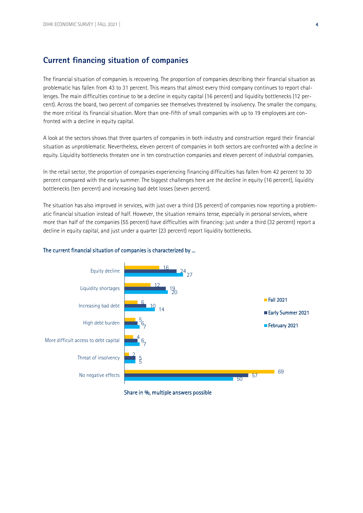## **Current financing situation of companies**

The financial situation of companies is recovering. The proportion of companies describing their financial situation as problematic has fallen from 43 to 31 percent. This means that almost every third company continues to report challenges. The main difficulties continue to be a decline in equity capital (16 percent) and liquidity bottlenecks (12 percent). Across the board, two percent of companies see themselves threatened by insolvency. The smaller the company, the more critical its financial situation. More than one-fifth of small companies with up to 19 employees are confronted with a decline in equity capital.

A look at the sectors shows that three quarters of companies in both industry and construction regard their financial situation as unproblematic. Nevertheless, eleven percent of companies in both sectors are confronted with a decline in equity. Liquidity bottlenecks threaten one in ten construction companies and eleven percent of industrial companies.

In the retail sector, the proportion of companies experiencing financing difficulties has fallen from 42 percent to 30 percent compared with the early summer. The biggest challenges here are the decline in equity (16 percent), liquidity bottlenecks (ten percent) and increasing bad debt losses (seven percent).

The situation has also improved in services, with just over a third (35 percent) of companies now reporting a problematic financial situation instead of half. However, the situation remains tense, especially in personal services, where more than half of the companies (55 percent) have difficulties with financing: just under a third (32 percent) report a decline in equity capital, and just under a quarter (23 percent) report liquidity bottlenecks.

#### The current financial situation of companies is characterized by ...



#### Share in %, multiple answers possible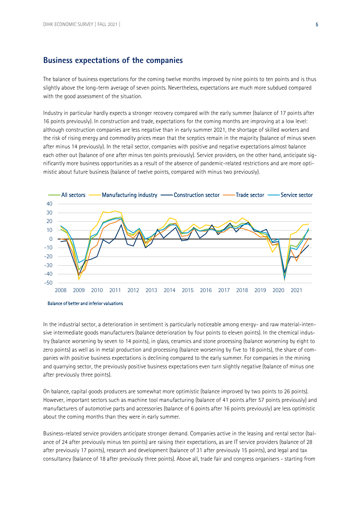### **Business expectations of the companies**

The balance of business expectations for the coming twelve months improved by nine points to ten points and is thus slightly above the long-term average of seven points. Nevertheless, expectations are much more subdued compared with the good assessment of the situation.

Industry in particular hardly expects a stronger recovery compared with the early summer (balance of 17 points after 16 points previously). In construction and trade, expectations for the coming months are improving at a low level: although construction companies are less negative than in early summer 2021, the shortage of skilled workers and the risk of rising energy and commodity prices mean that the sceptics remain in the majority (balance of minus seven after minus 14 previously). In the retail sector, companies with positive and negative expectations almost balance each other out (balance of one after minus ten points previously). Service providers, on the other hand, anticipate significantly more business opportunities as a result of the absence of pandemic-related restrictions and are more optimistic about future business (balance of twelve points, compared with minus two previously).



In the industrial sector, a deterioration in sentiment is particularly noticeable among energy- and raw material-intensive intermediate goods manufacturers (balance deterioration by four points to eleven points). In the chemical industry (balance worsening by seven to 14 points), in glass, ceramics and stone processing (balance worsening by eight to zero points) as well as in metal production and processing (balance worsening by five to 18 points), the share of companies with positive business expectations is declining compared to the early summer. For companies in the mining and quarrying sector, the previously positive business expectations even turn slightly negative (balance of minus one after previously three points).

On balance, capital goods producers are somewhat more optimistic (balance improved by two points to 26 points). However, important sectors such as machine tool manufacturing (balance of 41 points after 57 points previously) and manufacturers of automotive parts and accessories (balance of 6 points after 16 points previously) are less optimistic about the coming months than they were in early summer.

Business-related service providers anticipate stronger demand. Companies active in the leasing and rental sector (balance of 24 after previously minus ten points) are raising their expectations, as are IT service providers (balance of 28 after previously 17 points), research and development (balance of 31 after previously 15 points), and legal and tax consultancy (balance of 18 after previously three points). Above all, trade fair and congress organisers - starting from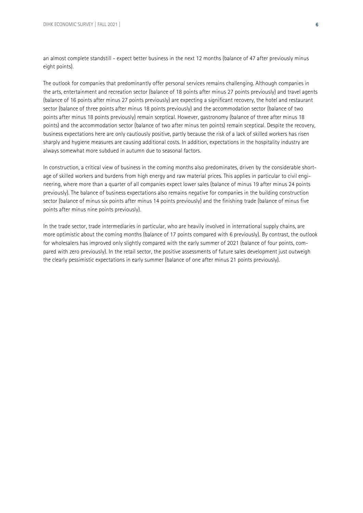an almost complete standstill - expect better business in the next 12 months (balance of 47 after previously minus eight points).

The outlook for companies that predominantly offer personal services remains challenging. Although companies in the arts, entertainment and recreation sector (balance of 18 points after minus 27 points previously) and travel agents (balance of 16 points after minus 27 points previously) are expecting a significant recovery, the hotel and restaurant sector (balance of three points after minus 18 points previously) and the accommodation sector (balance of two points after minus 18 points previously) remain sceptical. However, gastronomy (balance of three after minus 18 points) and the accommodation sector (balance of two after minus ten points) remain sceptical. Despite the recovery, business expectations here are only cautiously positive, partly because the risk of a lack of skilled workers has risen sharply and hygiene measures are causing additional costs. In addition, expectations in the hospitality industry are always somewhat more subdued in autumn due to seasonal factors.

In construction, a critical view of business in the coming months also predominates, driven by the considerable shortage of skilled workers and burdens from high energy and raw material prices. This applies in particular to civil engineering, where more than a quarter of all companies expect lower sales (balance of minus 19 after minus 24 points previously). The balance of business expectations also remains negative for companies in the building construction sector (balance of minus six points after minus 14 points previously) and the finishing trade (balance of minus five points after minus nine points previously).

In the trade sector, trade intermediaries in particular, who are heavily involved in international supply chains, are more optimistic about the coming months (balance of 17 points compared with 6 previously). By contrast, the outlook for wholesalers has improved only slightly compared with the early summer of 2021 (balance of four points, compared with zero previously). In the retail sector, the positive assessments of future sales development just outweigh the clearly pessimistic expectations in early summer (balance of one after minus 21 points previously).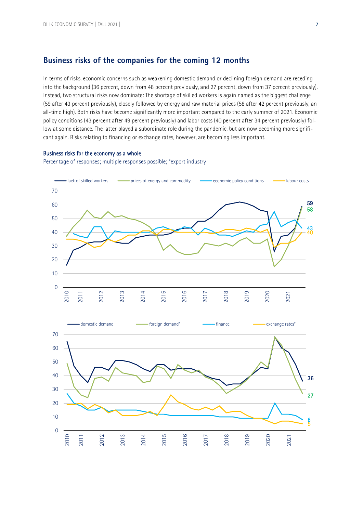### **Business risks of the companies for the coming 12 months**

In terms of risks, economic concerns such as weakening domestic demand or declining foreign demand are receding into the background (36 percent, down from 48 percent previously, and 27 percent, down from 37 percent previously). Instead, two structural risks now dominate: The shortage of skilled workers is again named as the biggest challenge (59 after 43 percent previously), closely followed by energy and raw material prices (58 after 42 percent previously, an all-time high). Both risks have become significantly more important compared to the early summer of 2021. Economic policy conditions (43 percent after 49 percent previously) and labor costs (40 percent after 34 percent previously) follow at some distance. The latter played a subordinate role during the pandemic, but are now becoming more significant again. Risks relating to financing or exchange rates, however, are becoming less important.

#### Business risks for the economy as a whole

Percentage of responses; multiple responses possible; \*export industry

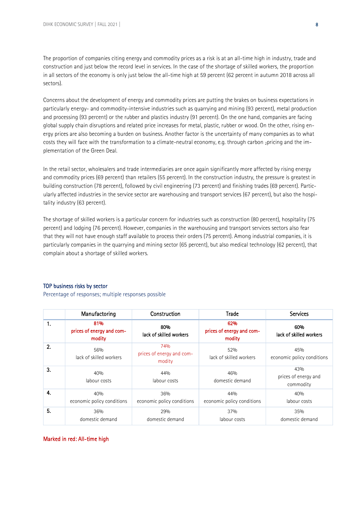The proportion of companies citing energy and commodity prices as a risk is at an all-time high in industry, trade and construction and just below the record level in services. In the case of the shortage of skilled workers, the proportion in all sectors of the economy is only just below the all-time high at 59 percent (62 percent in autumn 2018 across all sectors).

Concerns about the development of energy and commodity prices are putting the brakes on business expectations in particularly energy- and commodity-intensive industries such as quarrying and mining (93 percent), metal production and processing (93 percent) or the rubber and plastics industry (91 percent). On the one hand, companies are facing global supply chain disruptions and related price increases for metal, plastic, rubber or wood. On the other, rising energy prices are also becoming a burden on business. Another factor is the uncertainty of many companies as to what costs they will face with the transformation to a climate-neutral economy, e.g. through carbon 2pricing and the implementation of the Green Deal.

In the retail sector, wholesalers and trade intermediaries are once again significantly more affected by rising energy and commodity prices (69 percent) than retailers (55 percent). In the construction industry, the pressure is greatest in building construction (78 percent), followed by civil engineering (73 percent) and finishing trades (69 percent). Particularly affected industries in the service sector are warehousing and transport services (67 percent), but also the hospitality industry (63 percent).

The shortage of skilled workers is a particular concern for industries such as construction (80 percent), hospitality (75 percent) and lodging (76 percent). However, companies in the warehousing and transport services sectors also fear that they will not have enough staff available to process their orders (75 percent). Among industrial companies, it is particularly companies in the quarrying and mining sector (65 percent), but also medical technology (62 percent), that complain about a shortage of skilled workers.

#### TOP business risks by sector

Percentage of responses; multiple responses possible

|                  | Manufactoring                              | Construction                               | <b>Trade</b>                               | <b>Services</b>                          |
|------------------|--------------------------------------------|--------------------------------------------|--------------------------------------------|------------------------------------------|
| 1.               | 81%<br>prices of energy and com-<br>modity | 80%<br>lack of skilled workers             | 62%<br>prices of energy and com-<br>modity | 60%<br>lack of skilled workers           |
| 2.               | 56%<br>lack of skilled workers             | 74%<br>prices of energy and com-<br>modity | 52%<br>lack of skilled workers             | 45%<br>economic policy conditions        |
| 3.               | 40%<br>labour costs                        | 44%<br>labour costs                        | 46%<br>domestic demand                     | 43%<br>prices of energy and<br>commodity |
| $\overline{4}$ . | 40%<br>economic policy conditions          | 36%<br>economic policy conditions          | 44%<br>economic policy conditions          | 40%<br>labour costs                      |
| 5.               | 36%<br>domestic demand                     | 29%<br>domestic demand                     | 37%<br>labour costs                        | 35%<br>domestic demand                   |

#### Marked in red: All-time high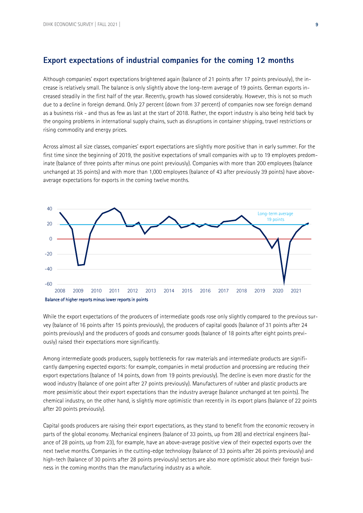### **Export expectations of industrial companies for the coming 12 months**

Although companies' export expectations brightened again (balance of 21 points after 17 points previously), the increase is relatively small. The balance is only slightly above the long-term average of 19 points. German exports increased steadily in the first half of the year. Recently, growth has slowed considerably. However, this is not so much due to a decline in foreign demand. Only 27 percent (down from 37 percent) of companies now see foreign demand as a business risk - and thus as few as last at the start of 2018. Rather, the export industry is also being held back by the ongoing problems in international supply chains, such as disruptions in container shipping, travel restrictions or rising commodity and energy prices.

Across almost all size classes, companies' export expectations are slightly more positive than in early summer. For the first time since the beginning of 2019, the positive expectations of small companies with up to 19 employees predominate (balance of three points after minus one point previously). Companies with more than 200 employees (balance unchanged at 35 points) and with more than 1,000 employees (balance of 43 after previously 39 points) have aboveaverage expectations for exports in the coming twelve months.



While the export expectations of the producers of intermediate goods rose only slightly compared to the previous survey (balance of 16 points after 15 points previously), the producers of capital goods (balance of 31 points after 24 points previously) and the producers of goods and consumer goods (balance of 18 points after eight points previously) raised their expectations more significantly.

Among intermediate goods producers, supply bottlenecks for raw materials and intermediate products are significantly dampening expected exports: for example, companies in metal production and processing are reducing their export expectations (balance of 14 points, down from 19 points previously). The decline is even more drastic for the wood industry (balance of one point after 27 points previously). Manufacturers of rubber and plastic products are more pessimistic about their export expectations than the industry average (balance unchanged at ten points). The chemical industry, on the other hand, is slightly more optimistic than recently in its export plans (balance of 22 points after 20 points previously).

Capital goods producers are raising their export expectations, as they stand to benefit from the economic recovery in parts of the global economy. Mechanical engineers (balance of 33 points, up from 28) and electrical engineers (balance of 28 points, up from 23), for example, have an above-average positive view of their expected exports over the next twelve months. Companies in the cutting-edge technology (balance of 33 points after 26 points previously) and high-tech (balance of 30 points after 28 points previously) sectors are also more optimistic about their foreign business in the coming months than the manufacturing industry as a whole.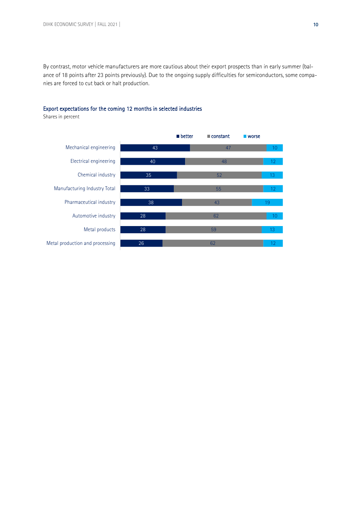By contrast, motor vehicle manufacturers are more cautious about their export prospects than in early summer (balance of 18 points after 23 points previously). Due to the ongoing supply difficulties for semiconductors, some companies are forced to cut back or halt production.



### Export expectations for the coming 12 months in selected industries

Shares in percent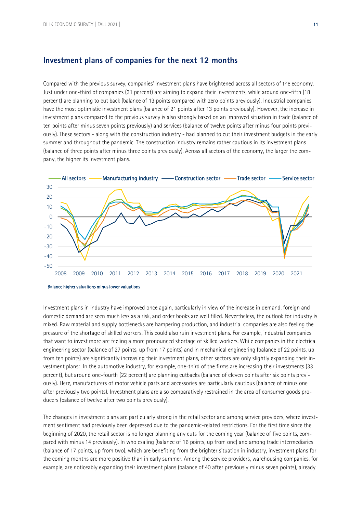#### **Investment plans of companies for the next 12 months**

Compared with the previous survey, companies' investment plans have brightened across all sectors of the economy. Just under one-third of companies (31 percent) are aiming to expand their investments, while around one-fifth (18 percent) are planning to cut back (balance of 13 points compared with zero points previously). Industrial companies have the most optimistic investment plans (balance of 21 points after 13 points previously). However, the increase in investment plans compared to the previous survey is also strongly based on an improved situation in trade (balance of ten points after minus seven points previously) and services (balance of twelve points after minus four points previously). These sectors - along with the construction industry - had planned to cut their investment budgets in the early summer and throughout the pandemic. The construction industry remains rather cautious in its investment plans (balance of three points after minus three points previously). Across all sectors of the economy, the larger the company, the higher its investment plans.





Investment plans in industry have improved once again, particularly in view of the increase in demand, foreign and domestic demand are seen much less as a risk, and order books are well filled. Nevertheless, the outlook for industry is mixed. Raw material and supply bottlenecks are hampering production, and industrial companies are also feeling the pressure of the shortage of skilled workers. This could also ruin investment plans. For example, industrial companies that want to invest more are feeling a more pronounced shortage of skilled workers. While companies in the electrical engineering sector (balance of 27 points, up from 17 points) and in mechanical engineering (balance of 22 points, up from ten points) are significantly increasing their investment plans, other sectors are only slightly expanding their investment plans: In the automotive industry, for example, one-third of the firms are increasing their investments (33 percent), but around one-fourth (22 percent) are planning cutbacks (balance of eleven points after six points previously). Here, manufacturers of motor vehicle parts and accessories are particularly cautious (balance of minus one after previously two points). Investment plans are also comparatively restrained in the area of consumer goods producers (balance of twelve after two points previously).

The changes in investment plans are particularly strong in the retail sector and among service providers, where investment sentiment had previously been depressed due to the pandemic-related restrictions. For the first time since the beginning of 2020, the retail sector is no longer planning any cuts for the coming year (balance of five points, compared with minus 14 previously). In wholesaling (balance of 16 points, up from one) and among trade intermediaries (balance of 17 points, up from two), which are benefiting from the brighter situation in industry, investment plans for the coming months are more positive than in early summer. Among the service providers, warehousing companies, for example, are noticeably expanding their investment plans (balance of 40 after previously minus seven points), already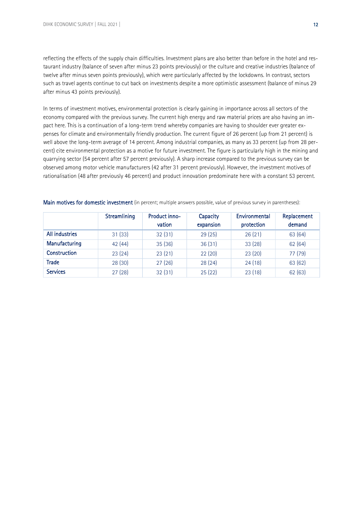reflecting the effects of the supply chain difficulties. Investment plans are also better than before in the hotel and restaurant industry (balance of seven after minus 23 points previously) or the culture and creative industries (balance of twelve after minus seven points previously), which were particularly affected by the lockdowns. In contrast, sectors such as travel agents continue to cut back on investments despite a more optimistic assessment (balance of minus 29 after minus 43 points previously).

In terms of investment motives, environmental protection is clearly gaining in importance across all sectors of the economy compared with the previous survey. The current high energy and raw material prices are also having an impact here. This is a continuation of a long-term trend whereby companies are having to shoulder ever greater expenses for climate and environmentally friendly production. The current figure of 26 percent (up from 21 percent) is well above the long-term average of 14 percent. Among industrial companies, as many as 33 percent (up from 28 percent) cite environmental protection as a motive for future investment. The figure is particularly high in the mining and quarrying sector (54 percent after 57 percent previously). A sharp increase compared to the previous survey can be observed among motor vehicle manufacturers (42 after 31 percent previously). However, the investment motives of rationalisation (48 after previously 46 percent) and product innovation predominate here with a constant 53 percent.

|                       | Streamlining | Product inno-<br>vation | Capacity<br>expansion | Environmental<br>protection | Replacement<br>demand |
|-----------------------|--------------|-------------------------|-----------------------|-----------------------------|-----------------------|
| <b>All industries</b> | 31(33)       | 32(31)                  | 29(25)                | 26(21)                      | 63 (64)               |
| Manufacturing         | 42(44)       | 35 (36)                 | 36(31)                | 33(28)                      | 62 (64)               |
| <b>Construction</b>   | 23(24)       | 23(21)                  | 22(20)                | 23(20)                      | 77 (79)               |
| <b>Trade</b>          | 28(30)       | 27(26)                  | 28(24)                | 24(18)                      | 63 (62)               |
| <b>Services</b>       | 27(28)       | 32(31)                  | 25(22)                | 23(18)                      | 62 (63)               |

Main motives for domestic investment (in percent; multiple answers possible, value of previous survey in parentheses):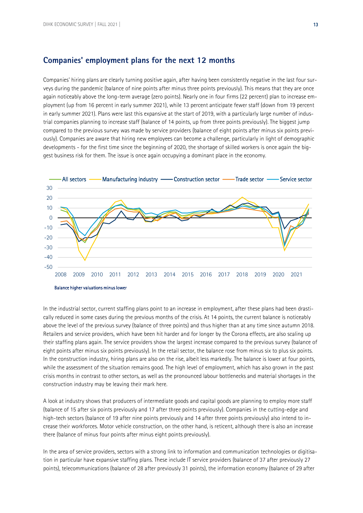### **Companies' employment plans for the next 12 months**

Companies' hiring plans are clearly turning positive again, after having been consistently negative in the last four surveys during the pandemic (balance of nine points after minus three points previously). This means that they are once again noticeably above the long-term average (zero points). Nearly one in four firms (22 percent) plan to increase employment (up from 16 percent in early summer 2021), while 13 percent anticipate fewer staff (down from 19 percent in early summer 2021). Plans were last this expansive at the start of 2019, with a particularly large number of industrial companies planning to increase staff (balance of 14 points, up from three points previously). The biggest jump compared to the previous survey was made by service providers (balance of eight points after minus six points previously). Companies are aware that hiring new employees can become a challenge, particularly in light of demographic developments - for the first time since the beginning of 2020, the shortage of skilled workers is once again the biggest business risk for them. The issue is once again occupying a dominant place in the economy.



In the industrial sector, current staffing plans point to an increase in employment, after these plans had been drastically reduced in some cases during the previous months of the crisis. At 14 points, the current balance is noticeably above the level of the previous survey (balance of three points) and thus higher than at any time since autumn 2018. Retailers and service providers, which have been hit harder and for longer by the Corona effects, are also scaling up their staffing plans again. The service providers show the largest increase compared to the previous survey (balance of eight points after minus six points previously). In the retail sector, the balance rose from minus six to plus six points. In the construction industry, hiring plans are also on the rise, albeit less markedly. The balance is lower at four points, while the assessment of the situation remains good. The high level of employment, which has also grown in the past crisis months in contrast to other sectors, as well as the pronounced labour bottlenecks and material shortages in the construction industry may be leaving their mark here.

A look at industry shows that producers of intermediate goods and capital goods are planning to employ more staff (balance of 15 after six points previously and 17 after three points previously). Companies in the cutting-edge and high-tech sectors (balance of 19 after nine points previously and 14 after three points previously) also intend to increase their workforces. Motor vehicle construction, on the other hand, is reticent, although there is also an increase there (balance of minus four points after minus eight points previously).

In the area of service providers, sectors with a strong link to information and communication technologies or digitisation in particular have expansive staffing plans. These include IT service providers (balance of 37 after previously 27 points), telecommunications (balance of 28 after previously 31 points), the information economy (balance of 29 after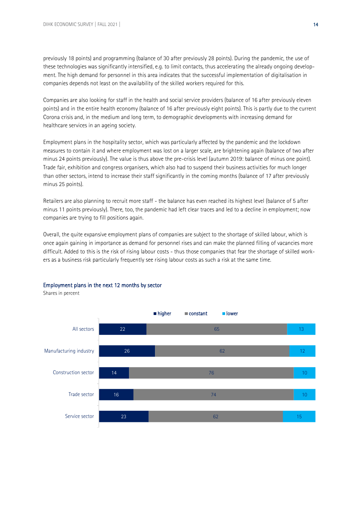previously 18 points) and programming (balance of 30 after previously 28 points). During the pandemic, the use of these technologies was significantly intensified, e.g. to limit contacts, thus accelerating the already ongoing development. The high demand for personnel in this area indicates that the successful implementation of digitalisation in companies depends not least on the availability of the skilled workers required for this.

Companies are also looking for staff in the health and social service providers (balance of 16 after previously eleven points) and in the entire health economy (balance of 16 after previously eight points). This is partly due to the current Corona crisis and, in the medium and long term, to demographic developments with increasing demand for healthcare services in an ageing society.

Employment plans in the hospitality sector, which was particularly affected by the pandemic and the lockdown measures to contain it and where employment was lost on a larger scale, are brightening again (balance of two after minus 24 points previously). The value is thus above the pre-crisis level (autumn 2019: balance of minus one point). Trade fair, exhibition and congress organisers, which also had to suspend their business activities for much longer than other sectors, intend to increase their staff significantly in the coming months (balance of 17 after previously minus 25 points).

Retailers are also planning to recruit more staff - the balance has even reached its highest level (balance of 5 after minus 11 points previously). There, too, the pandemic had left clear traces and led to a decline in employment; now companies are trying to fill positions again.

Overall, the quite expansive employment plans of companies are subject to the shortage of skilled labour, which is once again gaining in importance as demand for personnel rises and can make the planned filling of vacancies more difficult. Added to this is the risk of rising labour costs - thus those companies that fear the shortage of skilled workers as a business risk particularly frequently see rising labour costs as such a risk at the same time.



#### Employment plans in the next 12 months by sector

Shares in percent